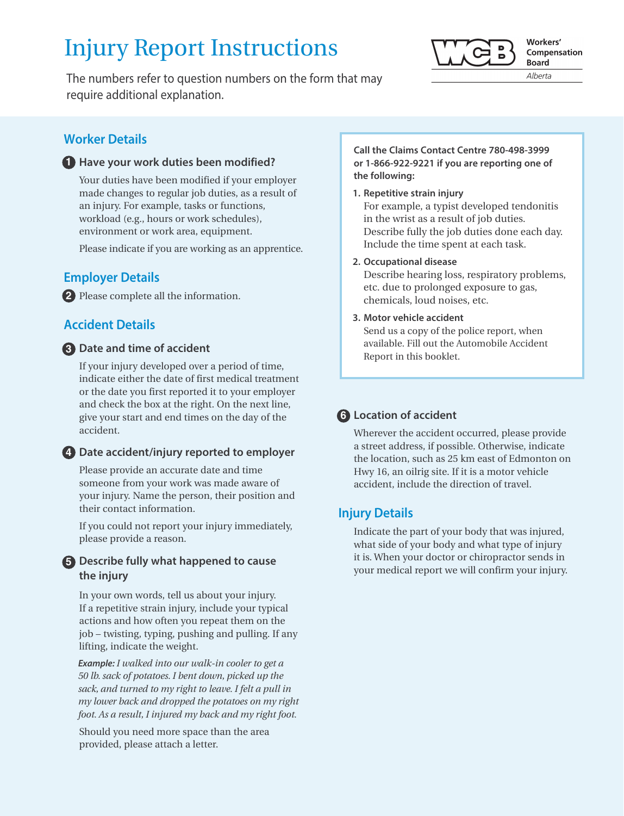# Injury Report Instructions

The numbers refer to question numbers on the form that may require additional explanation.



## **1** Have your work duties been modified?

Your duties have been modified if your employer made changes to regular job duties, as a result of an injury. For example, tasks or functions, workload (e.g., hours or work schedules), environment or work area, equipment.

Please indicate if you are working as an apprentice.

# **Employer Details**

Please complete all the information. **2**

# **Accident Details**

# **Date and time of accident 3**

If your injury developed over a period of time, indicate either the date of first medical treatment or the date you first reported it to your employer and check the box at the right. On the next line, give your start and end times on the day of the accident.

### **Date accident/injury reported to employer 4**

Please provide an accurate date and time someone from your work was made aware of your injury. Name the person, their position and their contact information.

If you could not report your injury immediately, please provide a reason.

# **Describe fully what happened to cause 5 the injury**

In your own words, tell us about your injury. If a repetitive strain injury, include your typical actions and how often you repeat them on the job – twisting, typing, pushing and pulling. If any lifting, indicate the weight.

 *Example: I walked into our walk-in cooler to get a 50 lb. sack of potatoes. I bent down, picked up the sack, and turned to my right to leave. I felt a pull in my lower back and dropped the potatoes on my right foot. As a result, I injured my back and my right foot.*

Should you need more space than the area provided, please attach a letter.

#### **Call the Claims Contact Centre 780-498-3999 or 1-866-922-9221 if you are reporting one of the following:**

#### **1. Repetitive strain injury**

For example, a typist developed tendonitis in the wrist as a result of job duties. Describe fully the job duties done each day. Include the time spent at each task.

#### **2. Occupational disease**

Describe hearing loss, respiratory problems, etc. due to prolonged exposure to gas, chemicals, loud noises, etc.

#### **3. Motor vehicle accident**

Send us a copy of the police report, when available. Fill out the Automobile Accident Report in this booklet.

# **Location of accident 6**

Wherever the accident occurred, please provide a street address, if possible. Otherwise, indicate the location, such as 25 km east of Edmonton on Hwy 16, an oilrig site. If it is a motor vehicle accident, include the direction of travel.

# **Injury Details**

Indicate the part of your body that was injured, what side of your body and what type of injury it is. When your doctor or chiropractor sends in your medical report we will confirm your injury.

Workers' Compensation **Board** 

Alberta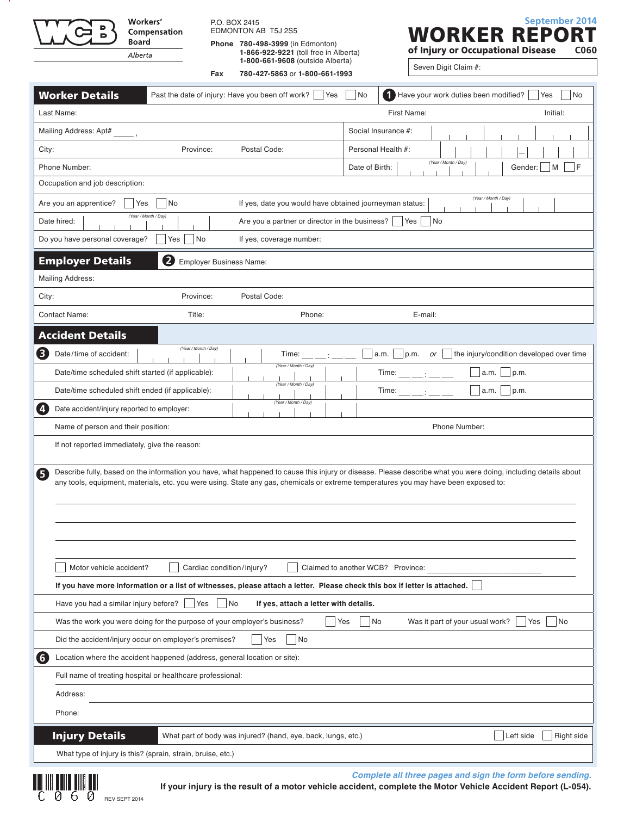Workers' Compensation **Board** Alberta

P.O. BOX 2415 EDMONTON AB T5J 2S5

**Phone 780-498-3999** (in Edmonton)  **1-866-922-9221** (toll free in Alberta) **1-800-661-9608** (outside Alberta)

**Fax** 780-427-5863 or 1-800-661-1993



|       | <b>Worker Details</b>                                                     | Past the date of injury: Have you been off work? | Yes                                                                                                                                  | No             | 1<br>Have your work duties been modified? | Yes<br>No                                                                                                                                                      |
|-------|---------------------------------------------------------------------------|--------------------------------------------------|--------------------------------------------------------------------------------------------------------------------------------------|----------------|-------------------------------------------|----------------------------------------------------------------------------------------------------------------------------------------------------------------|
|       | Last Name:                                                                |                                                  |                                                                                                                                      |                | First Name:                               | Initial:                                                                                                                                                       |
|       | Mailing Address: Apt#                                                     |                                                  |                                                                                                                                      |                | Social Insurance #:                       |                                                                                                                                                                |
| City: |                                                                           | Province:                                        | Postal Code:                                                                                                                         |                | Personal Health #:                        |                                                                                                                                                                |
|       | Phone Number:                                                             |                                                  |                                                                                                                                      | Date of Birth: | (Year / Month / Day)                      | F<br>Gender:<br>M                                                                                                                                              |
|       | Occupation and job description:                                           |                                                  |                                                                                                                                      |                |                                           |                                                                                                                                                                |
|       | Are you an apprentice?<br>Yes                                             | No                                               | If yes, date you would have obtained journeyman status:                                                                              |                |                                           | (Year / Month / Day)                                                                                                                                           |
|       | (Year / Month / Day)<br>Date hired:                                       |                                                  | Are you a partner or director in the business?                                                                                       |                | Yes<br> No                                |                                                                                                                                                                |
|       | Do you have personal coverage?                                            | No<br>Yes                                        | If yes, coverage number:                                                                                                             |                |                                           |                                                                                                                                                                |
|       | <b>Employer Details</b>                                                   | 2<br><b>Employer Business Name:</b>              |                                                                                                                                      |                |                                           |                                                                                                                                                                |
|       | <b>Mailing Address:</b>                                                   |                                                  |                                                                                                                                      |                |                                           |                                                                                                                                                                |
| City: |                                                                           | Province:                                        | Postal Code:                                                                                                                         |                |                                           |                                                                                                                                                                |
|       | <b>Contact Name:</b>                                                      | Title:                                           | Phone:                                                                                                                               |                | E-mail:                                   |                                                                                                                                                                |
|       | <b>Accident Details</b>                                                   |                                                  |                                                                                                                                      |                |                                           |                                                                                                                                                                |
|       |                                                                           | (Year / Month / Day)                             |                                                                                                                                      |                |                                           | the injury/condition developed over time                                                                                                                       |
| 8     | Date/time of accident:                                                    |                                                  | Time:<br>(Year / Month / Day)                                                                                                        |                | a.m.<br>p.m.<br>or                        |                                                                                                                                                                |
|       | Date/time scheduled shift started (if applicable):                        |                                                  | (Year / Month / Day)                                                                                                                 |                | Time:                                     | p.m.<br>a.m.                                                                                                                                                   |
|       | Date/time scheduled shift ended (if applicable):                          |                                                  | (Year / Month / Day)                                                                                                                 |                | Time:                                     | p.m.<br>a.m.                                                                                                                                                   |
| Ø     | Date accident/injury reported to employer:                                |                                                  |                                                                                                                                      |                |                                           |                                                                                                                                                                |
|       | Name of person and their position:                                        |                                                  |                                                                                                                                      |                | Phone Number:                             |                                                                                                                                                                |
|       | If not reported immediately, give the reason:                             |                                                  |                                                                                                                                      |                |                                           |                                                                                                                                                                |
| 6     |                                                                           |                                                  |                                                                                                                                      |                |                                           | Describe fully, based on the information you have, what happened to cause this injury or disease. Please describe what you were doing, including details about |
|       |                                                                           |                                                  | any tools, equipment, materials, etc. you were using. State any gas, chemicals or extreme temperatures you may have been exposed to: |                |                                           |                                                                                                                                                                |
|       |                                                                           |                                                  |                                                                                                                                      |                |                                           |                                                                                                                                                                |
|       |                                                                           |                                                  |                                                                                                                                      |                |                                           |                                                                                                                                                                |
|       |                                                                           |                                                  |                                                                                                                                      |                |                                           |                                                                                                                                                                |
|       | Motor vehicle accident?                                                   | Cardiac condition/injury?                        |                                                                                                                                      |                | Claimed to another WCB? Province:         |                                                                                                                                                                |
|       |                                                                           |                                                  | If you have more information or a list of witnesses, please attach a letter. Please check this box if letter is attached.            |                |                                           |                                                                                                                                                                |
|       | Have you had a similar injury before?                                     | Yes<br>No                                        | If yes, attach a letter with details.                                                                                                |                |                                           |                                                                                                                                                                |
|       | Was the work you were doing for the purpose of your employer's business?  |                                                  |                                                                                                                                      | No<br>Yes      | Was it part of your usual work?           | No<br>Yes                                                                                                                                                      |
|       | Did the accident/injury occur on employer's premises?                     |                                                  | Yes<br>No                                                                                                                            |                |                                           |                                                                                                                                                                |
| 6     | Location where the accident happened (address, general location or site): |                                                  |                                                                                                                                      |                |                                           |                                                                                                                                                                |
|       | Full name of treating hospital or healthcare professional:                |                                                  |                                                                                                                                      |                |                                           |                                                                                                                                                                |
|       | Address:                                                                  |                                                  |                                                                                                                                      |                |                                           |                                                                                                                                                                |
|       | Phone:                                                                    |                                                  |                                                                                                                                      |                |                                           |                                                                                                                                                                |
|       |                                                                           |                                                  |                                                                                                                                      |                |                                           |                                                                                                                                                                |
|       | <b>Injury Details</b>                                                     |                                                  | What part of body was injured? (hand, eye, back, lungs, etc.)                                                                        |                |                                           | Right side<br>Left side                                                                                                                                        |
|       | What type of injury is this? (sprain, strain, bruise, etc.)               |                                                  |                                                                                                                                      |                |                                           |                                                                                                                                                                |

**Complete all three pages and sign the form before sending.**

**REVIEW SEPT 2014**<br>
REV SEPT 2014

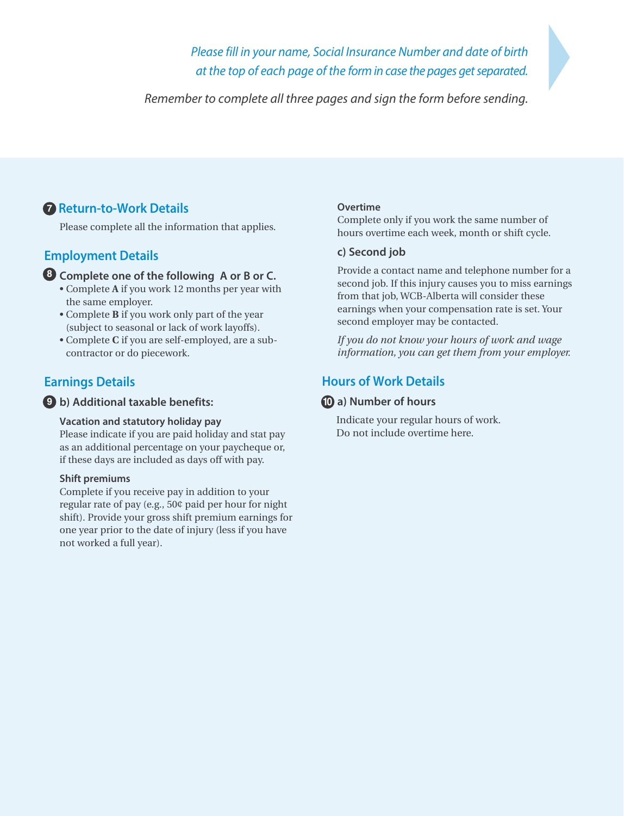*Please fill in your name, Social Insurance Number and date of birth at the top of each page of the form in case the pages get separated.*

*Remember to complete all three pages and sign the form before sending.*

# **7** Return-to-Work Details

Please complete all the information that applies.

# **Employment Details**

### **Complete one of the following A or B or C. 8**

- Complete **A** if you work 12 months per year with the same employer.
- Complete **B** if you work only part of the year (subject to seasonal or lack of work layoffs).
- Complete **C** if you are self-employed, are a subcontractor or do piecework.

# **Earnings Details**

#### **b) Additional taxable benefits: 9 10**

#### **Vacation and statutory holiday pay**

Please indicate if you are paid holiday and stat pay as an additional percentage on your paycheque or, if these days are included as days off with pay.

#### **Shift premiums**

Complete if you receive pay in addition to your regular rate of pay (e.g., 50¢ paid per hour for night shift). Provide your gross shift premium earnings for one year prior to the date of injury (less if you have not worked a full year).

#### **Overtime**

Complete only if you work the same number of hours overtime each week, month or shift cycle.

### **c) Second job**

Provide a contact name and telephone number for a second job. If this injury causes you to miss earnings from that job, WCB-Alberta will consider these earnings when your compensation rate is set. Your second employer may be contacted.

*If you do not know your hours of work and wage information, you can get them from your employer.*

# **Hours of Work Details**

# **a) Number of hours**

 Indicate your regular hours of work. Do not include overtime here.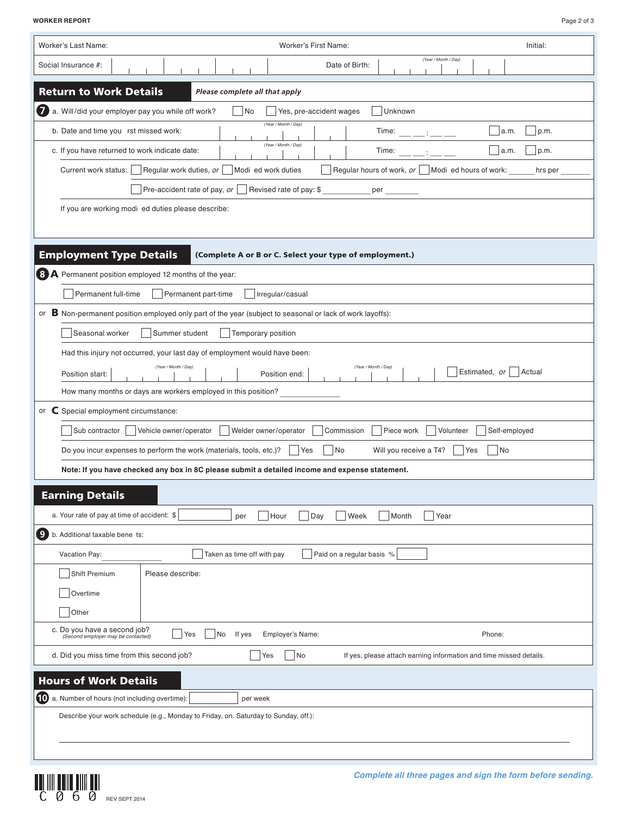**WORKER REPORT** Page 2 of 3

| Worker's Last Name:<br>Worker's First Name:<br>Initial:                                                                                                                                                                                                                                                                                                                                  |
|------------------------------------------------------------------------------------------------------------------------------------------------------------------------------------------------------------------------------------------------------------------------------------------------------------------------------------------------------------------------------------------|
| (Year / Month / Day)<br>Social Insurance #:<br>Date of Birth:                                                                                                                                                                                                                                                                                                                            |
| <b>Return to Work Details</b><br>Please complete all that apply                                                                                                                                                                                                                                                                                                                          |
| $\boldsymbol{\theta}$<br>a. Will/did your employer pay you while off work?<br>$\overline{\phantom{a}}$ No<br>Unknown<br>Yes, pre-accident wages                                                                                                                                                                                                                                          |
| (Year / Month / Day)<br>b. Date and time you first missed work:<br>p.m.<br>Time: $\frac{1}{2}$ : $\frac{1}{2}$ = $\frac{1}{2}$ = $\frac{1}{2}$ = $\frac{1}{2}$ = $\frac{1}{2}$ = $\frac{1}{2}$ = $\frac{1}{2}$ = $\frac{1}{2}$ = $\frac{1}{2}$ = $\frac{1}{2}$ = $\frac{1}{2}$ = $\frac{1}{2}$ = $\frac{1}{2}$ = $\frac{1}{2}$ = $\frac{1}{2}$ = $\frac{1}{2}$ = $\frac{1}{2}$ =<br>a.m. |
| (Year / Month / Day)<br>c. If you have returned to work indicate date:<br>p.m.<br>a.m.<br>Time:<br><b>Contract Contract</b>                                                                                                                                                                                                                                                              |
| Regular hours of work, $or$ $\Box$ Modified hours of work:<br>Regular work duties, or   Modified work duties<br>Current work status:<br>hrs per                                                                                                                                                                                                                                          |
| Pre-accident rate of pay, or $\vert$ Revised rate of pay: \$<br>per the control of the control of the control of the control of the control of the control of the control of the control of the control of the control of the control of the control of the control of the control of the cont                                                                                           |
| If you are working modified duties please describe:                                                                                                                                                                                                                                                                                                                                      |
|                                                                                                                                                                                                                                                                                                                                                                                          |
|                                                                                                                                                                                                                                                                                                                                                                                          |
| <b>Employment Type Details</b><br>(Complete A or B or C. Select your type of employment.)                                                                                                                                                                                                                                                                                                |
| 8 A Permanent position employed 12 months of the year:                                                                                                                                                                                                                                                                                                                                   |
| Permanent full-time<br>Permanent part-time<br>Irregular/casual                                                                                                                                                                                                                                                                                                                           |
| or B Non-permanent position employed only part of the year (subject to seasonal or lack of work layoffs):                                                                                                                                                                                                                                                                                |
| Temporary position<br>Seasonal worker<br>Summer student                                                                                                                                                                                                                                                                                                                                  |
| Had this injury not occurred, your last day of employment would have been:<br>(Year / Month / Day)<br>(Year / Month / Day)                                                                                                                                                                                                                                                               |
| Estimated, or   Actual<br>Position end:<br>Position start:                                                                                                                                                                                                                                                                                                                               |
| How many months or days are workers employed in this position?                                                                                                                                                                                                                                                                                                                           |
| or C Special employment circumstance:                                                                                                                                                                                                                                                                                                                                                    |
| Sub contractor<br>Vehicle owner/operator<br>Welder owner/operator<br>Piece work<br>Self-employed<br>Commission<br>Volunteer                                                                                                                                                                                                                                                              |
| Do you incur expenses to perform the work (materials, tools, etc.)?<br> No<br>Will you receive a T4?<br><b>Yes</b><br>  Yes<br>No                                                                                                                                                                                                                                                        |
| Note: If you have checked any box in 8C please submit a detailed income and expense statement.                                                                                                                                                                                                                                                                                           |
| <b>Earning Details</b>                                                                                                                                                                                                                                                                                                                                                                   |
| a. Your rate of pay at time of accident: \$<br>Day<br>Hour<br>Week<br>Month<br>Year<br>per                                                                                                                                                                                                                                                                                               |
| 9 b. Additional taxable benefits:                                                                                                                                                                                                                                                                                                                                                        |
| Taken as time off with pay<br>Paid on a regular basis %<br>Vacation Pay:                                                                                                                                                                                                                                                                                                                 |
| <b>Shift Premium</b><br>Please describe:                                                                                                                                                                                                                                                                                                                                                 |
| Overtime                                                                                                                                                                                                                                                                                                                                                                                 |
| Other                                                                                                                                                                                                                                                                                                                                                                                    |
| c. Do you have a second job?<br>No<br>If yes - Employer's Name:<br>Phone:<br>Yes<br>(Second employer may be contacted)                                                                                                                                                                                                                                                                   |
| d. Did you miss time from this second job?<br>No<br>Yes<br>If yes, please attach earning information and time missed details.                                                                                                                                                                                                                                                            |
| <b>Hours of Work Details</b>                                                                                                                                                                                                                                                                                                                                                             |
| 10 a. Number of hours (not including overtime):<br>per week                                                                                                                                                                                                                                                                                                                              |
| Describe your work schedule (e.g., Monday to Friday, on. Saturday to Sunday, off.):                                                                                                                                                                                                                                                                                                      |
|                                                                                                                                                                                                                                                                                                                                                                                          |
|                                                                                                                                                                                                                                                                                                                                                                                          |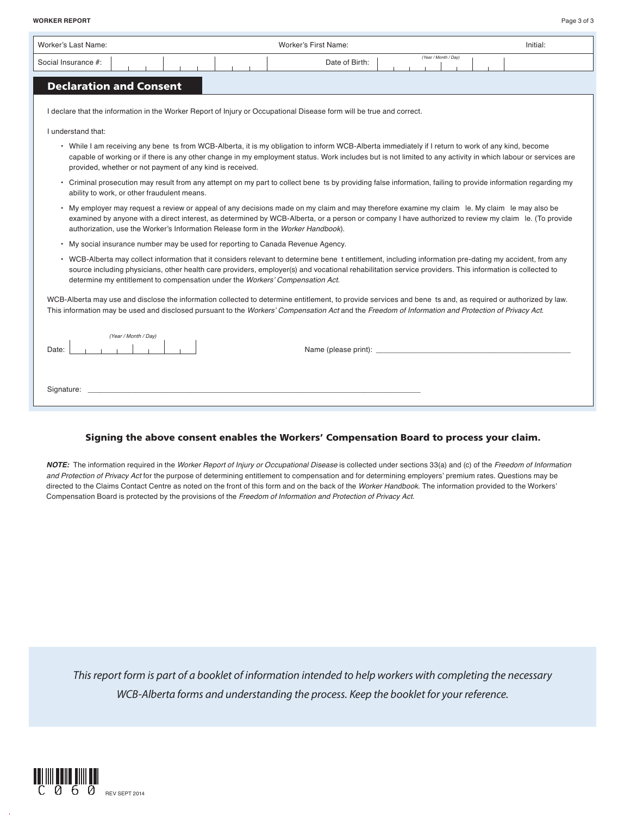**WORKER REPORT** Page 3 of 3

| Worker's Last Name:                                                                                                                                       | Worker's First Name: | Initial:             |
|-----------------------------------------------------------------------------------------------------------------------------------------------------------|----------------------|----------------------|
| Social Insurance #:                                                                                                                                       | Date of Birth:       | (Year / Month / Day) |
| <b>Service Service</b><br>$\mathcal{L}^{\text{max}}_{\text{max}}$ and $\mathcal{L}^{\text{max}}_{\text{max}}$ and $\mathcal{L}^{\text{max}}_{\text{max}}$ |                      |                      |

# **Declaration and Consent**

I declare that the information in the Worker Report of Injury or Occupational Disease form will be true and correct.

I understand that:

- While I am receiving any benefits from WCB-Alberta, it is my obligation to inform WCB-Alberta immediately if I return to work of any kind, become capable of working or if there is any other change in my employment status. Work includes but is not limited to any activity in which labour or services are provided, whether or not payment of any kind is received.
- Criminal prosecution may result from any attempt on my part to collect benefits by providing false information, failing to provide information regarding my ability to work, or other fraudulent means.
- My employer may request a review or appeal of any decisions made on my claim and may therefore examine my claim file. My claim file may also be examined by anyone with a direct interest, as determined by WCB-Alberta, or a person or company I have authorized to review my claim file. (To provide authorization, use the Worker's Information Release form in the Worker Handbook).
- My social insurance number may be used for reporting to Canada Revenue Agency.
- WCB-Alberta may collect information that it considers relevant to determine benefit entitlement, including information pre-dating my accident, from any source including physicians, other health care providers, employer(s) and vocational rehabilitation service providers. This information is collected to determine my entitlement to compensation under the Workers' Compensation Act.

WCB-Alberta may use and disclose the information collected to determine entitlement, to provide services and benefits and, as required or authorized by law. This information may be used and disclosed pursuant to the Workers' Compensation Act and the Freedom of Information and Protection of Privacy Act.

| (Year / Month / Day) |                      |
|----------------------|----------------------|
| Date:                | Name (please print): |
|                      |                      |
| Signature:           |                      |

#### **Signing the above consent enables the Workers' Compensation Board to process your claim.**

**NOTE:** The information required in the Worker Report of Injury or Occupational Disease is collected under sections 33(a) and (c) of the Freedom of Information and Protection of Privacy Act for the purpose of determining entitlement to compensation and for determining employers' premium rates. Questions may be directed to the Claims Contact Centre as noted on the front of this form and on the back of the Worker Handbook. The information provided to the Workers' Compensation Board is protected by the provisions of the Freedom of Information and Protection of Privacy Act.

 *This report form is part of a booklet of information intended to help workers with completing the necessary WCB-Alberta forms and understanding the process. Keep the booklet for your reference.*

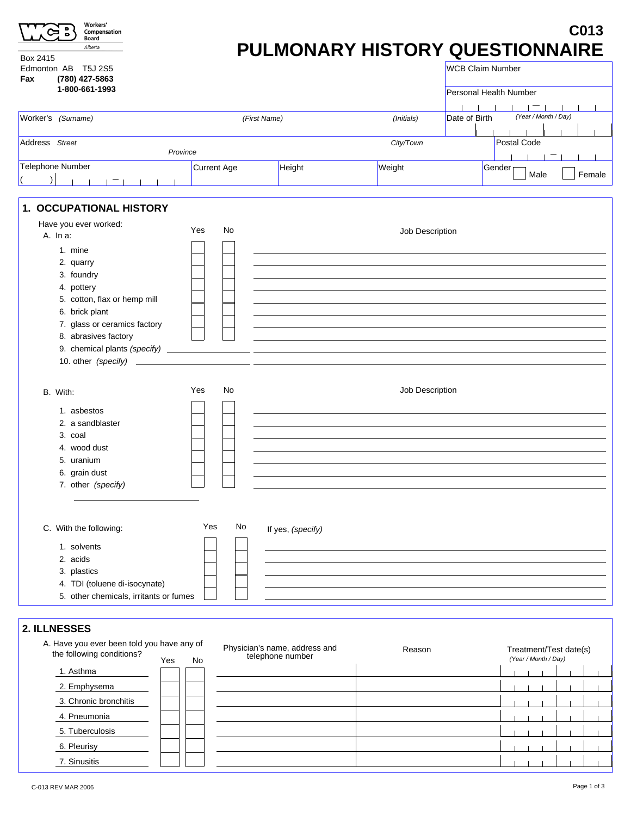|                        |                                                                                                                                                   |                                                                             |        |                                    | C013                                                                                                                                                                                      |
|------------------------|---------------------------------------------------------------------------------------------------------------------------------------------------|-----------------------------------------------------------------------------|--------|------------------------------------|-------------------------------------------------------------------------------------------------------------------------------------------------------------------------------------------|
|                        |                                                                                                                                                   |                                                                             |        |                                    |                                                                                                                                                                                           |
|                        |                                                                                                                                                   | (Initials)                                                                  |        |                                    |                                                                                                                                                                                           |
|                        |                                                                                                                                                   | City/Town                                                                   |        | <b>Postal Code</b>                 |                                                                                                                                                                                           |
|                        |                                                                                                                                                   |                                                                             |        |                                    |                                                                                                                                                                                           |
|                        |                                                                                                                                                   |                                                                             |        | Male                               | Female                                                                                                                                                                                    |
|                        |                                                                                                                                                   |                                                                             |        |                                    |                                                                                                                                                                                           |
| No<br>Yes<br>No<br>Yes |                                                                                                                                                   |                                                                             |        |                                    |                                                                                                                                                                                           |
| Yes<br>No<br>No        | If yes, (specify)                                                                                                                                 | Reason                                                                      |        |                                    |                                                                                                                                                                                           |
|                        | Province<br>Current Age<br>1. OCCUPATIONAL HISTORY<br>5. other chemicals, irritants or fumes<br>A. Have you ever been told you have any of<br>Yes | (First Name)<br>Height<br>Physician's name, address and<br>telephone number | Weight | Job Description<br>Job Description | PULMONARY HISTORY QUESTIONNAIRE<br><b>WCB Claim Number</b><br>Personal Health Number<br>(Year / Month / Day)<br>Date of Birth<br>Gender<br>Treatment/Test date(s)<br>(Year / Month / Day) |

7. Sinusitis

 $\mathbf{1}$   $\mathbf{1}$   $\mathbf{1}$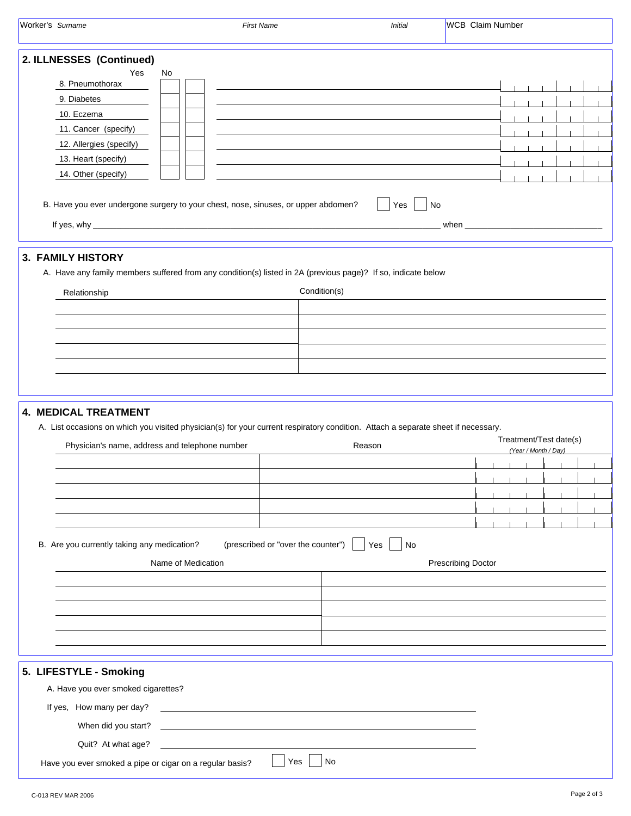| Worker's Surname                                                                                                                                                                                                                                                             | <b>First Name</b>                                                                                                                  | <b>Initial</b>   | <b>WCB</b> Claim Number                                                                                                                                                                                                              |
|------------------------------------------------------------------------------------------------------------------------------------------------------------------------------------------------------------------------------------------------------------------------------|------------------------------------------------------------------------------------------------------------------------------------|------------------|--------------------------------------------------------------------------------------------------------------------------------------------------------------------------------------------------------------------------------------|
| 2. ILLNESSES (Continued)<br>Yes<br>No<br>8. Pneumothorax<br>9. Diabetes<br>10. Eczema<br>11. Cancer (specify)<br>12. Allergies (specify)<br>13. Heart (specify)<br>14. Other (specify)<br>B. Have you ever undergone surgery to your chest, nose, sinuses, or upper abdomen? |                                                                                                                                    | Yes<br><b>No</b> | when <b>with the contract of the contract of the contract of the contract of the contract of the contract of the contract of the contract of the contract of the contract of the contract of the contract of the contract of the</b> |
| <b>3. FAMILY HISTORY</b><br>A. Have any family members suffered from any condition(s) listed in 2A (previous page)? If so, indicate below<br>Relationship                                                                                                                    | Condition(s)                                                                                                                       |                  |                                                                                                                                                                                                                                      |
| <b>4. MEDICAL TREATMENT</b><br>A. List occasions on which you visited physician(s) for your current respiratory condition. Attach a separate sheet if necessary.<br>Physician's name, address and telephone number                                                           |                                                                                                                                    | Reason           | Treatment/Test date(s)<br>(Year / Month / Day)                                                                                                                                                                                       |
| B. Are you currently taking any medication?<br>Name of Medication                                                                                                                                                                                                            | (prescribed or "over the counter")   Yes                                                                                           | No               | <b>Prescribing Doctor</b>                                                                                                                                                                                                            |
| 5. LIFESTYLE - Smoking<br>A. Have you ever smoked cigarettes?<br>If yes, How many per day?<br>Quit? At what age?<br>Have you ever smoked a pipe or cigar on a regular basis?                                                                                                 | <u> Tantan di Kabupaten Serika Bandara di Kabupaten Serika Bandara Serika Bandara Serika Bandara Serika Bandara S</u><br>No<br>Yes |                  |                                                                                                                                                                                                                                      |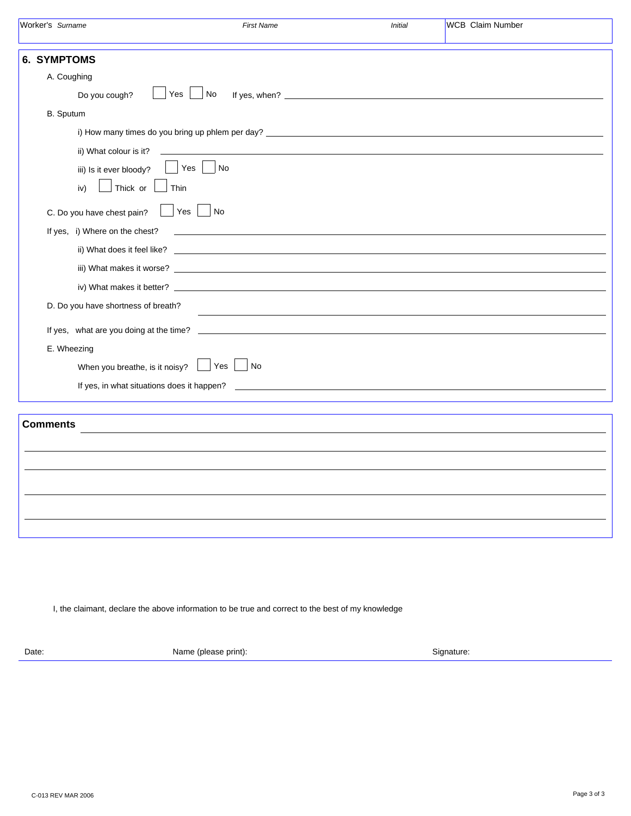|                 | Worker's Surname                    | <b>First Name</b>                                                                                                                                                                                                                                                                  | <b>Initial</b> | <b>WCB</b> Claim Number |
|-----------------|-------------------------------------|------------------------------------------------------------------------------------------------------------------------------------------------------------------------------------------------------------------------------------------------------------------------------------|----------------|-------------------------|
|                 | <b>6. SYMPTOMS</b>                  |                                                                                                                                                                                                                                                                                    |                |                         |
|                 | A. Coughing                         |                                                                                                                                                                                                                                                                                    |                |                         |
|                 | Do you cough?                       | Yes<br>No                                                                                                                                                                                                                                                                          |                |                         |
|                 | B. Sputum                           |                                                                                                                                                                                                                                                                                    |                |                         |
|                 |                                     |                                                                                                                                                                                                                                                                                    |                |                         |
|                 | ii) What colour is it?              |                                                                                                                                                                                                                                                                                    |                |                         |
|                 | iii) Is it ever bloody?             | Yes<br><b>No</b>                                                                                                                                                                                                                                                                   |                |                         |
|                 | Thick or<br>iv)                     | Thin                                                                                                                                                                                                                                                                               |                |                         |
|                 | C. Do you have chest pain?          | Yes<br>No                                                                                                                                                                                                                                                                          |                |                         |
|                 | If yes, i) Where on the chest?      |                                                                                                                                                                                                                                                                                    |                |                         |
|                 |                                     |                                                                                                                                                                                                                                                                                    |                |                         |
|                 |                                     |                                                                                                                                                                                                                                                                                    |                |                         |
|                 |                                     |                                                                                                                                                                                                                                                                                    |                |                         |
|                 | D. Do you have shortness of breath? | <u> 1980 - Johann Barbara, martin amerikan basal dan berasal dan berasal dalam basal dan berasal dan berasal dan</u>                                                                                                                                                               |                |                         |
|                 |                                     |                                                                                                                                                                                                                                                                                    |                |                         |
|                 | E. Wheezing                         |                                                                                                                                                                                                                                                                                    |                |                         |
|                 | When you breathe, is it noisy?      | Yes<br>No                                                                                                                                                                                                                                                                          |                |                         |
|                 |                                     | If yes, in what situations does it happen?<br><u>some started and the started and the started and the started and the started and the started and the started and the started and the started and the started and the started and the started and the started and the started </u> |                |                         |
|                 |                                     |                                                                                                                                                                                                                                                                                    |                |                         |
| <b>Comments</b> |                                     |                                                                                                                                                                                                                                                                                    |                |                         |
|                 |                                     |                                                                                                                                                                                                                                                                                    |                |                         |
|                 |                                     |                                                                                                                                                                                                                                                                                    |                |                         |
|                 |                                     |                                                                                                                                                                                                                                                                                    |                |                         |
|                 |                                     |                                                                                                                                                                                                                                                                                    |                |                         |
|                 |                                     |                                                                                                                                                                                                                                                                                    |                |                         |
|                 |                                     |                                                                                                                                                                                                                                                                                    |                |                         |

I, the claimant, declare the above information to be true and correct to the best of my knowledge

Date: Signature: Name (please print): Name (please print): Signature: Signature: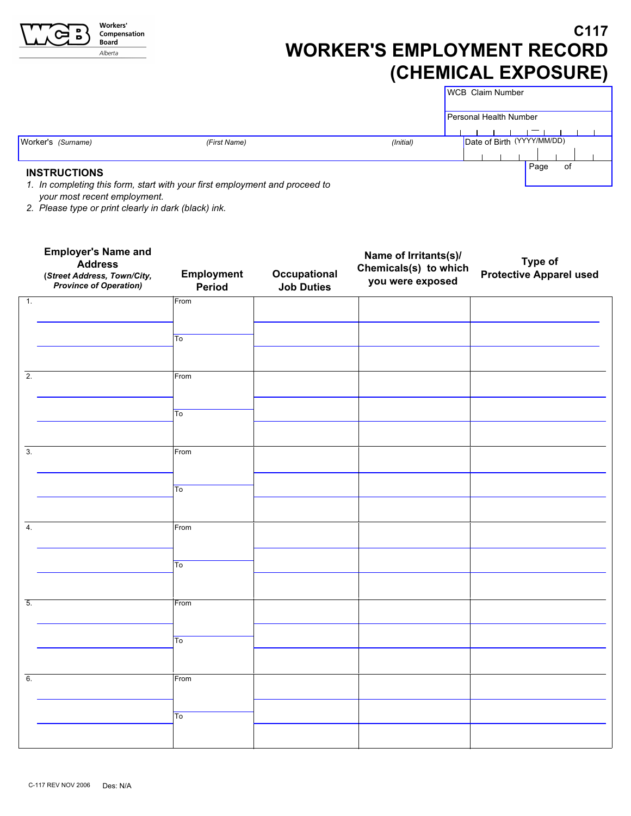| <b>Workers</b> '<br>Compensation<br>Board<br>Alberta                      |              | <b>WORKER'S EMPLOYMENT RECORD</b><br>(CHEMICAL EXPOSURE) |                        |                            | C <sub>117</sub> |
|---------------------------------------------------------------------------|--------------|----------------------------------------------------------|------------------------|----------------------------|------------------|
|                                                                           |              |                                                          | WCB Claim Number       |                            |                  |
|                                                                           |              |                                                          | Personal Health Number |                            |                  |
|                                                                           |              |                                                          |                        |                            |                  |
| Worker's (Surname)                                                        | (First Name) | (Initial)                                                |                        | Date of Birth (YYYY/MM/DD) |                  |
|                                                                           |              |                                                          |                        |                            |                  |
| <b>INSTRUCTIONS</b>                                                       |              |                                                          |                        | Page                       | 0f               |
| 1 In completing this form atort with your first employment and present to |              |                                                          |                        |                            |                  |

*1. In completing this form, start with your first employment and proceed to your most recent employment.* 

*2. Please type or print clearly in dark (black) ink.*

|                  | <b>Employer's Name and</b><br><b>Address</b><br>(Street Address, Town/City,<br><b>Province of Operation)</b> | <b>Employment</b><br>Period | Occupational<br><b>Job Duties</b> | Name of Irritants(s)/<br>Chemicals(s) to which<br>you were exposed | Type of<br><b>Protective Apparel used</b> |
|------------------|--------------------------------------------------------------------------------------------------------------|-----------------------------|-----------------------------------|--------------------------------------------------------------------|-------------------------------------------|
| $\overline{1}$ . |                                                                                                              | From                        |                                   |                                                                    |                                           |
|                  |                                                                                                              | To                          |                                   |                                                                    |                                           |
| $\overline{2}$ . |                                                                                                              | From                        |                                   |                                                                    |                                           |
|                  |                                                                                                              | $\overline{\text{To}}$      |                                   |                                                                    |                                           |
| $\overline{3}$ . |                                                                                                              | From                        |                                   |                                                                    |                                           |
|                  |                                                                                                              | $\overline{\mathsf{To}}$    |                                   |                                                                    |                                           |
| $\overline{4}$ . |                                                                                                              | From                        |                                   |                                                                    |                                           |
|                  |                                                                                                              | $\overline{\text{To}}$      |                                   |                                                                    |                                           |
| $\overline{5}$ . |                                                                                                              | From                        |                                   |                                                                    |                                           |
|                  |                                                                                                              | To                          |                                   |                                                                    |                                           |
| $\overline{6}$ . |                                                                                                              | From                        |                                   |                                                                    |                                           |
|                  |                                                                                                              | $\overline{\mathsf{To}}$    |                                   |                                                                    |                                           |
|                  |                                                                                                              |                             |                                   |                                                                    |                                           |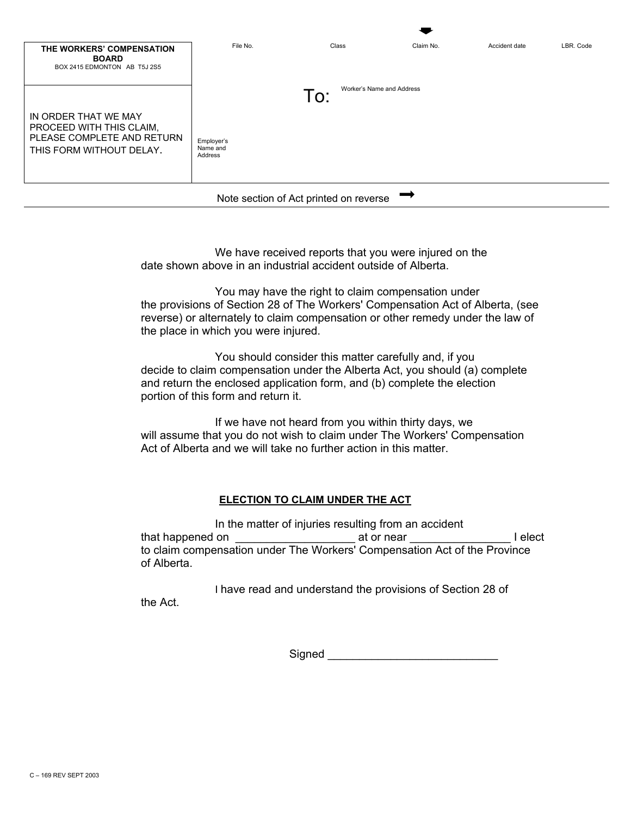| THE WORKERS' COMPENSATION<br><b>BOARD</b><br>BOX 2415 EDMONTON AB T5J 2S5                                  | File No.                          | Class                            | Claim No. | Accident date | LBR. Code |
|------------------------------------------------------------------------------------------------------------|-----------------------------------|----------------------------------|-----------|---------------|-----------|
| IN ORDER THAT WE MAY<br>PROCEED WITH THIS CLAIM.<br>PLEASE COMPLETE AND RETURN<br>THIS FORM WITHOUT DELAY. | Employer's<br>Name and<br>Address | Worker's Name and Address<br>To: |           |               |           |
| Note section of Act printed on reverse                                                                     |                                   |                                  |           |               |           |

We have received reports that you were injured on the date shown above in an industrial accident outside of Alberta.

You may have the right to claim compensation under the provisions of Section 28 of The Workers' Compensation Act of Alberta, (see reverse) or alternately to claim compensation or other remedy under the law of the place in which you were injured.

You should consider this matter carefully and, if you decide to claim compensation under the Alberta Act, you should (a) complete and return the enclosed application form, and (b) complete the election portion of this form and return it.

If we have not heard from you within thirty days, we will assume that you do not wish to claim under The Workers' Compensation Act of Alberta and we will take no further action in this matter.

# **ELECTION TO CLAIM UNDER THE ACT**

In the matter of injuries resulting from an accident that happened on the set of the set of near that happened on the set of the set of the set of the set of the s to claim compensation under The Workers' Compensation Act of the Province of Alberta.

I have read and understand the provisions of Section 28 of the Act.

Signed \_\_\_\_\_\_\_\_\_\_\_\_\_\_\_\_\_\_\_\_\_\_\_\_\_\_\_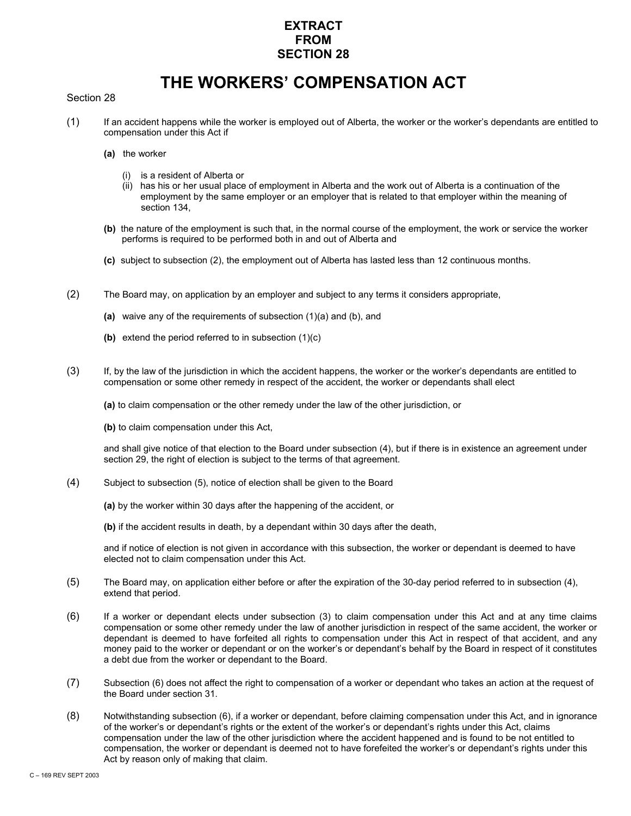# **EXTRACT FROM SECTION 28**

# **THE WORKERS' COMPENSATION ACT**

#### Section 28

- (1) If an accident happens while the worker is employed out of Alberta, the worker or the worker's dependants are entitled to compensation under this Act if
	- **(a)** the worker
		- (i) is a resident of Alberta or
		- (ii) has his or her usual place of employment in Alberta and the work out of Alberta is a continuation of the employment by the same employer or an employer that is related to that employer within the meaning of section 134.
	- **(b)** the nature of the employment is such that, in the normal course of the employment, the work or service the worker performs is required to be performed both in and out of Alberta and
	- **(c)** subject to subsection (2), the employment out of Alberta has lasted less than 12 continuous months.
- (2) The Board may, on application by an employer and subject to any terms it considers appropriate,
	- **(a)** waive any of the requirements of subsection (1)(a) and (b), and
	- **(b)** extend the period referred to in subsection (1)(c)
- (3) If, by the law of the jurisdiction in which the accident happens, the worker or the worker's dependants are entitled to compensation or some other remedy in respect of the accident, the worker or dependants shall elect

**(a)** to claim compensation or the other remedy under the law of the other jurisdiction, or

**(b)** to claim compensation under this Act,

and shall give notice of that election to the Board under subsection (4), but if there is in existence an agreement under section 29, the right of election is subject to the terms of that agreement.

- (4) Subject to subsection (5), notice of election shall be given to the Board
	- **(a)** by the worker within 30 days after the happening of the accident, or
	- **(b)** if the accident results in death, by a dependant within 30 days after the death,

and if notice of election is not given in accordance with this subsection, the worker or dependant is deemed to have elected not to claim compensation under this Act.

- (5) The Board may, on application either before or after the expiration of the 30-day period referred to in subsection (4), extend that period.
- (6) If a worker or dependant elects under subsection (3) to claim compensation under this Act and at any time claims compensation or some other remedy under the law of another jurisdiction in respect of the same accident, the worker or dependant is deemed to have forfeited all rights to compensation under this Act in respect of that accident, and any money paid to the worker or dependant or on the worker's or dependant's behalf by the Board in respect of it constitutes a debt due from the worker or dependant to the Board.
- (7) Subsection (6) does not affect the right to compensation of a worker or dependant who takes an action at the request of the Board under section 31.
- (8) Notwithstanding subsection (6), if a worker or dependant, before claiming compensation under this Act, and in ignorance of the worker's or dependant's rights or the extent of the worker's or dependant's rights under this Act, claims compensation under the law of the other jurisdiction where the accident happened and is found to be not entitled to compensation, the worker or dependant is deemed not to have forefeited the worker's or dependant's rights under this Act by reason only of making that claim.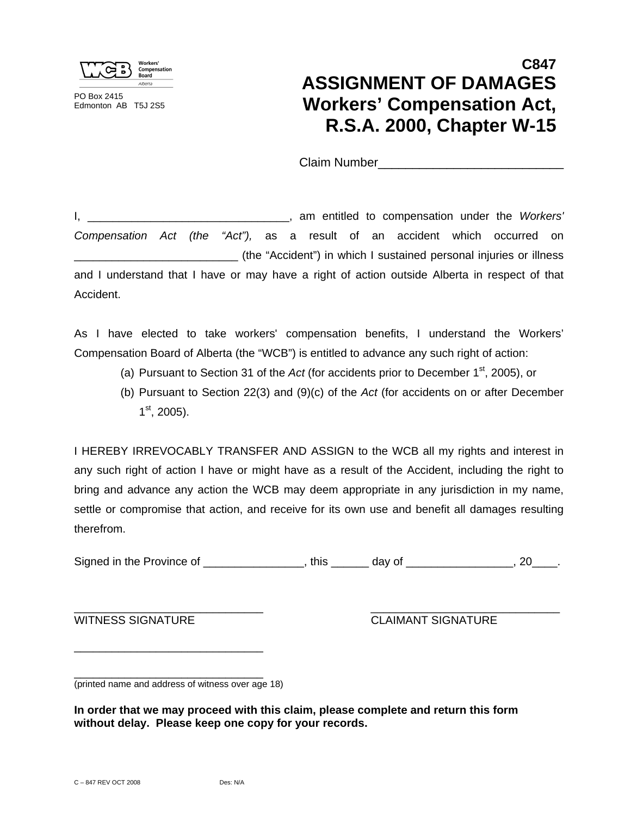

PO Box 2415 Edmonton AB T5J 2S5

# **C847 ASSIGNMENT OF DAMAGES Workers' Compensation Act, R.S.A. 2000, Chapter W-15**

Claim Number\_\_\_\_\_\_\_\_\_\_\_\_\_\_\_\_\_\_\_\_\_\_\_\_\_\_\_

I, \_\_\_\_\_\_\_\_\_\_\_\_\_\_\_\_\_\_\_\_\_\_\_\_\_\_\_\_\_\_\_\_, am entitled to compensation under the *Workers' Compensation Act (the "Act"),* as a result of an accident which occurred on \_\_\_\_\_\_\_\_\_\_\_\_\_\_\_\_\_\_\_\_\_\_\_\_\_\_ (the "Accident") in which I sustained personal injuries or illness and I understand that I have or may have a right of action outside Alberta in respect of that Accident.

As I have elected to take workers' compensation benefits, I understand the Workers' Compensation Board of Alberta (the "WCB") is entitled to advance any such right of action:

- (a) Pursuant to Section 31 of the *Act* (for accidents prior to December  $1<sup>st</sup>$ , 2005), or
- (b) Pursuant to Section 22(3) and (9)(c) of the *Act* (for accidents on or after December  $1<sup>st</sup>$ , 2005).

I HEREBY IRREVOCABLY TRANSFER AND ASSIGN to the WCB all my rights and interest in any such right of action I have or might have as a result of the Accident, including the right to bring and advance any action the WCB may deem appropriate in any jurisdiction in my name, settle or compromise that action, and receive for its own use and benefit all damages resulting therefrom.

Signed in the Province of The State of Texas in the Province of Texas in the State of Texas in the State of Te

\_\_\_\_\_\_\_\_\_\_\_\_\_\_\_\_\_\_\_\_\_\_\_\_\_\_\_\_\_\_ \_\_\_\_\_\_\_\_\_\_\_\_\_\_\_\_\_\_\_\_\_\_\_\_\_\_\_\_\_\_

WITNESS SIGNATURE CLAIMANT SIGNATURE

(printed name and address of witness over age 18)

\_\_\_\_\_\_\_\_\_\_\_\_\_\_\_\_\_\_\_\_\_\_\_\_\_\_\_\_\_\_

\_\_\_\_\_\_\_\_\_\_\_\_\_\_\_\_\_\_\_\_\_\_\_\_\_\_\_\_\_\_

**In order that we may proceed with this claim, please complete and return this form without delay. Please keep one copy for your records.**